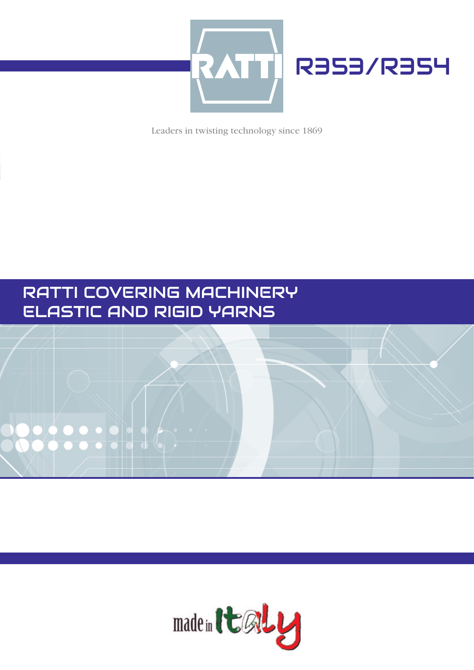

Leaders in twisting technology since 1869

# RATTI COVERING MACHINERY ELASTIC AND RIGID YARNS



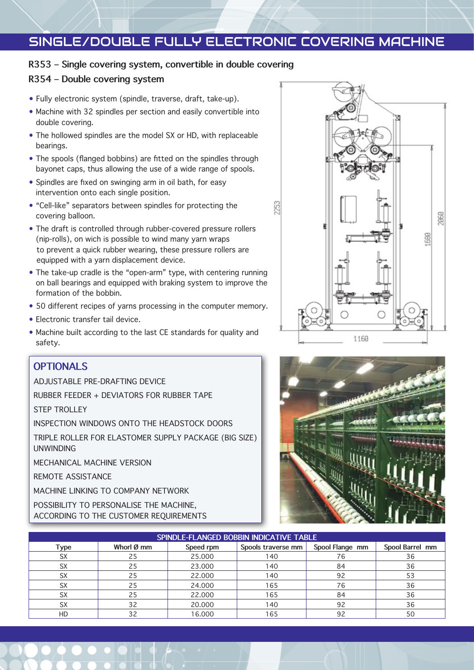## SINGLE/DOUBLE FULLY ELECTRONIC COVERING MACHINE

#### **R353 – Single covering system, convertible in double covering**

#### **R354 – Double covering system**

- Fully electronic system (spindle, traverse, draft, take-up).
- Machine with 32 spindles per section and easily convertible into double covering.
- The hollowed spindles are the model SX or HD, with replaceable bearings.
- The spools (flanged bobbins) are fitted on the spindles through bayonet caps, thus allowing the use of a wide range of spools.
- Spindles are fixed on swinging arm in oil bath, for easy intervention onto each single position.
- "Cell-like" separators between spindles for protecting the covering balloon.
- The draft is controlled through rubber-covered pressure rollers (nip-rolls), on wich is possible to wind many yarn wraps to prevent a quick rubber wearing, these pressure rollers are equipped with a yarn displacement device.
- The take-up cradle is the "open-arm" type, with centering running on ball bearings and equipped with braking system to improve the formation of the bobbin.
- 50 different recipes of yarns processing in the computer memory.
- Electronic transfer tail device.
- Machine built according to the last CE standards for quality and safety.

### **OPTIONALS**

ADJUSTABLE PRE-DRAFTING DEVICE

RUBBER FEEDER + DEVIATORS FOR RUBBER TAPE

STEP TROLLEY

INSPECTION WINDOWS ONTO THE HEADSTOCK DOORS

TRIPLE ROLLER FOR ELASTOMER SUPPLY PACKAGE (BIG SIZE) UNWINDING

MECHANICAL MACHINE VERSION

REMOTE ASSISTANCE

MACHINE LINKING TO COMPANY NETWORK

POSSIBILITY TO PERSONALISE THE MACHINE, ACCORDING TO THE CUSTOMER REQUIREMENTS





| SPINDLE-FLANGED BOBBIN INDICATIVE TABLE |            |           |                    |                 |                 |
|-----------------------------------------|------------|-----------|--------------------|-----------------|-----------------|
| Type                                    | Whorl Ø mm | Speed rpm | Spools traverse mm | Spool Flange mm | Spool Barrel mm |
| <b>SX</b>                               | 25         | 25,000    | 140                | 76              | 36              |
| <b>SX</b>                               | 25         | 23,000    | 140                | 84              | 36              |
| <b>SX</b>                               | 25         | 22.000    | 140                | 92              | 53              |
| <b>SX</b>                               | 25         | 24.000    | 165                | 76              | 36              |
| SX                                      | 25         | 22.000    | 165                | 84              | 36              |
| SX                                      | 32         | 20.000    | 140                | 92              | 36              |
| HD                                      | 32         | 16.000    | 165                | 92              | 50              |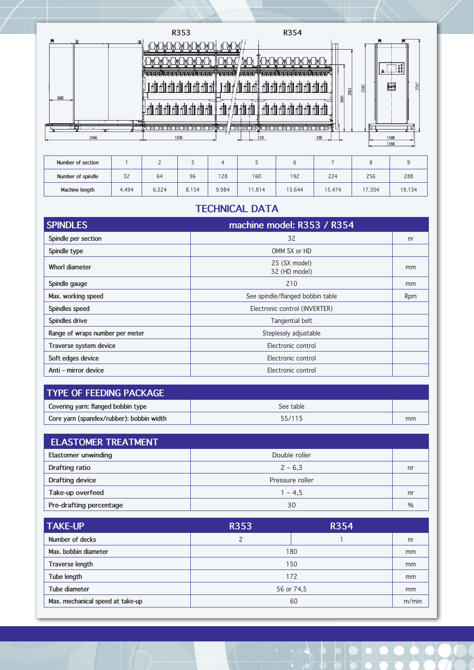

| Number of section |       |       |       |       |        |        |        |        |        |
|-------------------|-------|-------|-------|-------|--------|--------|--------|--------|--------|
| Number of spindle | 32    | 64    | 96    | 128   | 160    | 192    | 224    | 256    | 288    |
| Machine length    | 4.494 | 6.324 | 8.154 | 9.984 | 11.814 | 13.644 | 15.474 | 17.304 | 19.134 |

### **TECHNICAL DATA**

| <b>SPINDLES</b>                 | machine model: R353 / R354       |     |
|---------------------------------|----------------------------------|-----|
| Spindle per section             | 32                               | nr  |
| Spindle type                    | OMM SX or HD                     |     |
| Whorl diameter                  | 25 (SX model)<br>32 (HD model)   | mm  |
| Spindle gauge                   | 210                              | mm  |
| Max. working speed              | See spindle/flanged bobbin table | Rpm |
| Spindles speed                  | Electronic control (INVERTER)    |     |
| Spindles drive                  | Tangential belt                  |     |
| Range of wraps number per meter | Steplessly adjustable            |     |
| Traverse system device          | Electronic control               |     |
| Soft edges device               | Electronic control               |     |
| Anti - mirror device            | Electronic control               |     |

| TYPE OF FEEDING PACKAGE                  |           |    |  |  |
|------------------------------------------|-----------|----|--|--|
| Covering yarn: flanged bobbin type       | See table |    |  |  |
| Core yarn (spandex/rubber): bobbin width | 55/115    | mm |  |  |

| <b>ELASTOMER TREATMENT</b> |                 |      |  |  |
|----------------------------|-----------------|------|--|--|
| Elastomer unwinding        | Double roller   |      |  |  |
| Drafting ratio             | $2 - 6,3$       | nr   |  |  |
| Drafting device            | Pressure roller |      |  |  |
| Take-up overfeed           | $1 - 4.5$       | nr   |  |  |
| Pre-drafting percentage    | 30              | $\%$ |  |  |

| <b>TAKE-UP</b>                   | <b>R353</b> | <b>R354</b> |    |
|----------------------------------|-------------|-------------|----|
| Number of decks                  | C           |             | nr |
| Max. bobbin diameter             | 180         | mm          |    |
| Traverse length                  | 150         | mm          |    |
| Tube length                      | 172         |             |    |
| Tube diameter                    | 56 or 74,5  |             |    |
| Max. mechanical speed at take-up | 60          |             |    |